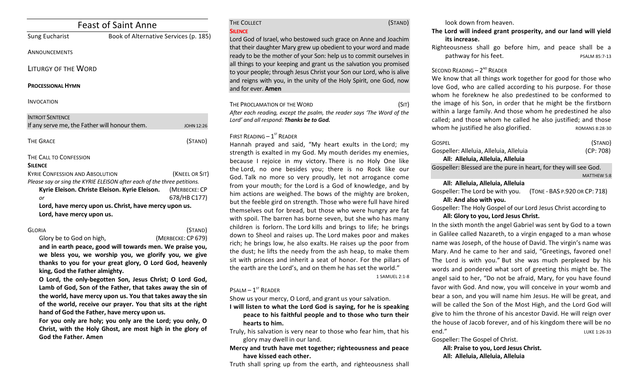| <b>Feast of Saint Anne</b>                                                         |                                       |  |
|------------------------------------------------------------------------------------|---------------------------------------|--|
| <b>Sung Eucharist</b>                                                              | Book of Alternative Services (p. 185) |  |
| ANNOUNCEMENTS                                                                      |                                       |  |
| <b>LITURGY OF THE WORD</b>                                                         |                                       |  |
| <b>PROCESSIONAL HYMN</b>                                                           |                                       |  |
| <b>INVOCATION</b>                                                                  |                                       |  |
| <b>INTROIT SENTENCE</b>                                                            |                                       |  |
| If any serve me, the Father will honour them.                                      | <b>JOHN 12:26</b>                     |  |
| <b>THE GRACE</b>                                                                   | (STAND)                               |  |
| THE CALL TO CONFESSION                                                             |                                       |  |
| <b>SILENCE</b>                                                                     |                                       |  |
| <b>KYRIF CONFESSION AND ABSOLUTION</b>                                             | (KNEEL OR SIT)                        |  |
| Please say or sing the KYRIE ELEISON after each of the three petitions.            |                                       |  |
| Kyrie Eleison. Christe Eleison. Kyrie Eleison.                                     | (MERBECKE: CP                         |  |
| or                                                                                 | 678/HB C177)                          |  |
| Lord, have mercy upon us. Christ, have mercy upon us.<br>Lord, have mercy upon us. |                                       |  |

## GLORIA (STAND)

Glory be to God on high, *(MERBECKE: CP 679)* and in earth peace, good will towards men. We praise you, we bless you, we worship you, we glorify you, we give thanks to you for your great glory, O Lord God, heavenly king, God the Father almighty.

O Lord, the only-begotten Son, Jesus Christ; O Lord God, Lamb of God, Son of the Father, that takes away the sin of the world, have mercy upon us. You that takes away the sin of the world, receive our prayer. You that sits at the right hand of God the Father, have mercy upon us.

For you only are holy; you only are the Lord; you only, O Christ, with the Holy Ghost, are most high in the glory of God the Father. Amen

## THE COLLECT (STAND) **SILENCE**

Lord God of Israel, who bestowed such grace on Anne and Joachim that their daughter Mary grew up obedient to your word and made ready to be the mother of your Son: help us to commit ourselves in all things to your keeping and grant us the salvation you promised to your people; through Jesus Christ your Son our Lord, who is alive and reigns with you, in the unity of the Holy Spirit, one God, now and for ever. **Amen** 

| THE PROCLAMATION OF THE WORD                                           | (SIT) |
|------------------------------------------------------------------------|-------|
| After each reading, except the psalm, the reader says 'The Word of the |       |
| Lord' and all respond: Thanks be to God.                               |       |

## FIRST READING  $-1<sup>ST</sup>$  READER

Hannah prayed and said, "My heart exults in the Lord; my strength is exalted in my God. My mouth derides my enemies, because I rejoice in my victory. There is no Holy One like the Lord, no one besides you; there is no Rock like our God. Talk no more so very proudly, let not arrogance come from your mouth; for the Lord is a God of knowledge, and by him actions are weighed. The bows of the mighty are broken, but the feeble gird on strength. Those who were full have hired themselves out for bread, but those who were hungry are fat with spoil. The barren has borne seven, but she who has many children is forlorn. The Lord kills and brings to life; he brings down to Sheol and raises up. The Lord makes poor and makes rich; he brings low, he also exalts. He raises up the poor from the dust; he lifts the needy from the ash heap, to make them sit with princes and inherit a seat of honor. For the pillars of the earth are the Lord's, and on them he has set the world."

1 SAMUEL 2:1-8

## $P$ SALM –  $1^{ST}$  READER

Show us your mercy, O Lord, and grant us your salvation.

- **I** will listen to what the Lord God is saying, for he is speaking **peace to his faithful people and to those who turn their** hearts to him.
- Truly, his salvation is very near to those who fear him, that his glory may dwell in our land.

**Mercy and truth have met together; righteousness and peace** have kissed each other.

Truth shall spring up from the earth, and righteousness shall

look down from heaven.

The Lord will indeed grant prosperity, and our land will yield its increase.

Righteousness shall go before him, and peace shall be a pathway for his feet. PSALM 85:7-13

# SECOND READING  $- 2<sup>ND</sup>$  READER

We know that all things work together for good for those who love God, who are called according to his purpose. For those whom he foreknew he also predestined to be conformed to the image of his Son, in order that he might be the firstborn within a large family. And those whom he predestined he also called; and those whom he called he also justified; and those whom he justified he also glorified.  $ROMANS 8:28-30$ 

| GOSPEL                                  | (STAND)   |
|-----------------------------------------|-----------|
| Gospeller: Alleluia, Alleluia, Alleluia | (CP: 708) |
| All: Alleluia, Alleluia, Alleluia       |           |

Gospeller: Blessed are the pure in heart, for they will see God. MATTHEW 5:8

## **All: Alleluia, Alleluia, Alleluia**

Gospeller: The Lord be with you. (TONE - BAS P.920 OR CP: 718) All: And also with you.

Gospeller: The Holy Gospel of our Lord Jesus Christ according to All: Glory to you, Lord Jesus Christ.

In the sixth month the angel Gabriel was sent by God to a town in Galilee called Nazareth, to a virgin engaged to a man whose name was Joseph, of the house of David. The virgin's name was Mary. And he came to her and said, "Greetings, favored one! The Lord is with you." But she was much perplexed by his words and pondered what sort of greeting this might be. The angel said to her, "Do not be afraid, Mary, for you have found favor with God. And now, you will conceive in your womb and bear a son, and you will name him Jesus. He will be great, and will be called the Son of the Most High, and the Lord God will give to him the throne of his ancestor David. He will reign over the house of Jacob forever, and of his kingdom there will be no end." LUKE 1:26-33

Gospeller: The Gospel of Christ.

All: Praise to you, Lord Jesus Christ. **All: Alleluia, Alleluia, Alleluia**